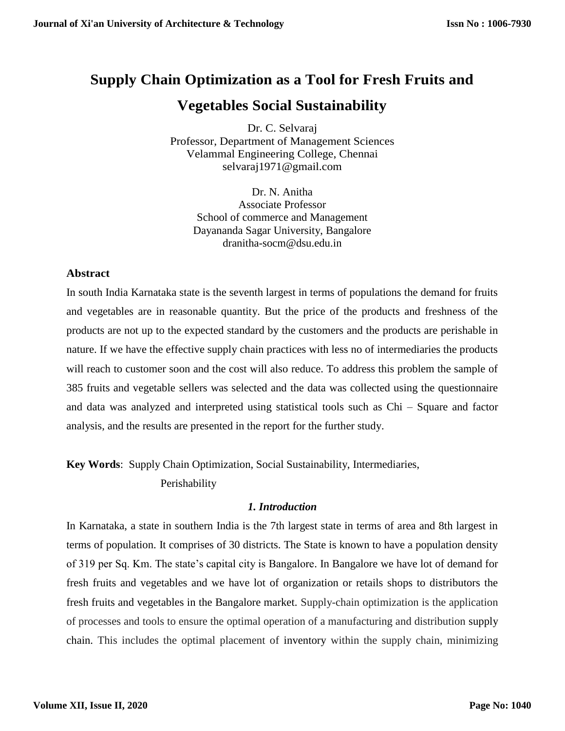# **Supply Chain Optimization as a Tool for Fresh Fruits and**

# **Vegetables Social Sustainability**

Dr. C. Selvaraj Professor, Department of Management Sciences Velammal Engineering College, Chennai [selvaraj1971@gmail.com](mailto:selvaraj1971@gmail.com)

Dr. N. Anitha Associate Professor School of commerce and Management Dayananda Sagar University, Bangalore [dranitha-socm@dsu.edu.in](mailto:dranitha-socm@dsu.edu.in)

# **Abstract**

In south India Karnataka state is the seventh largest in terms of populations the demand for fruits and vegetables are in reasonable quantity. But the price of the products and freshness of the products are not up to the expected standard by the customers and the products are perishable in nature. If we have the effective supply chain practices with less no of intermediaries the products will reach to customer soon and the cost will also reduce. To address this problem the sample of 385 fruits and vegetable sellers was selected and the data was collected using the questionnaire and data was analyzed and interpreted using statistical tools such as Chi – Square and factor analysis, and the results are presented in the report for the further study.

**Key Words**: Supply Chain Optimization, Social Sustainability, Intermediaries,

Perishability

# *1. Introduction*

In Karnataka, a state in southern India is the 7th largest state in terms of area and 8th largest in terms of population. It comprises of 30 districts. The State is known to have a population density of 319 per Sq. Km. The state's capital city is Bangalore. In Bangalore we have lot of demand for fresh fruits and vegetables and we have lot of organization or retails shops to distributors the fresh fruits and vegetables in the Bangalore market. Supply-chain optimization is the application of processes and tools to ensure the optimal operation of a manufacturing and distribution supply chain. This includes the optimal placement of inventory within the supply chain, minimizing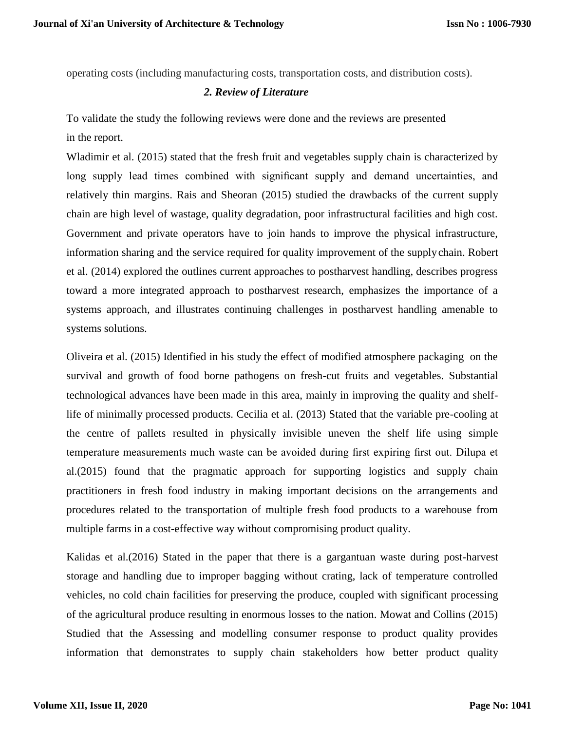operating costs (including manufacturing costs, transportation costs, and distribution costs).

#### *2. Review of Literature*

To validate the study the following reviews were done and the reviews are presented in the report.

Wladimir et al. (2015) stated that the fresh fruit and vegetables supply chain is characterized by long supply lead times combined with significant supply and demand uncertainties, and relatively thin margins. Rais and Sheoran (2015) studied the drawbacks of the current supply chain are high level of wastage, quality degradation, poor infrastructural facilities and high cost. Government and private operators have to join hands to improve the physical infrastructure, information sharing and the service required for quality improvement of the supplychain. Robert et al. (2014) explored the outlines current approaches to postharvest handling, describes progress toward a more integrated approach to postharvest research, emphasizes the importance of a systems approach, and illustrates continuing challenges in postharvest handling amenable to systems solutions.

Oliveira et al. (2015) Identified in his study the effect of modified atmosphere packaging on the survival and growth of food borne pathogens on fresh-cut fruits and vegetables. Substantial technological advances have been made in this area, mainly in improving the quality and shelflife of minimally processed products. Cecilia et al. (2013) Stated that the variable pre-cooling at the centre of pallets resulted in physically invisible uneven the shelf life using simple temperature measurements much waste can be avoided during first expiring first out. Dilupa et al.(2015) found that the pragmatic approach for supporting logistics and supply chain practitioners in fresh food industry in making important decisions on the arrangements and procedures related to the transportation of multiple fresh food products to a warehouse from multiple farms in a cost-effective way without compromising product quality.

Kalidas et al.(2016) Stated in the paper that there is a gargantuan waste during post-harvest storage and handling due to improper bagging without crating, lack of temperature controlled vehicles, no cold chain facilities for preserving the produce, coupled with significant processing of the agricultural produce resulting in enormous losses to the nation. Mowat and Collins (2015) Studied that the Assessing and modelling consumer response to product quality provides information that demonstrates to supply chain stakeholders how better product quality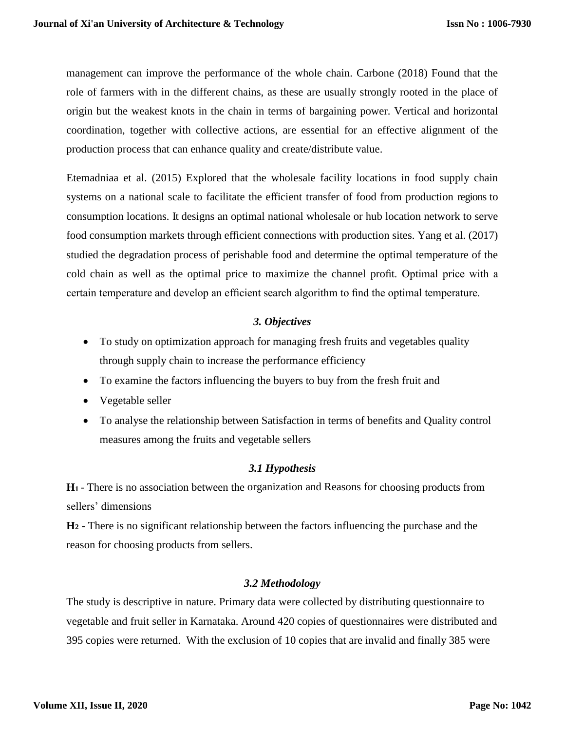management can improve the performance of the whole chain. Carbone (2018) Found that the role of farmers with in the different chains, as these are usually strongly rooted in the place of origin but the weakest knots in the chain in terms of bargaining power. Vertical and horizontal coordination, together with collective actions, are essential for an effective alignment of the production process that can enhance quality and create/distribute value.

Etemadniaa et al. (2015) Explored that the wholesale facility locations in food supply chain systems on a national scale to facilitate the efficient transfer of food from production regions to consumption locations. It designs an optimal national wholesale or hub location network to serve food consumption markets through efficient connections with production sites. Yang et al. (2017) studied the degradation process of perishable food and determine the optimal temperature of the cold chain as well as the optimal price to maximize the channel profit. Optimal price with a certain temperature and develop an efficient search algorithm to find the optimal temperature.

#### *3. Objectives*

- To study on optimization approach for managing fresh fruits and vegetables quality through supply chain to increase the performance efficiency
- To examine the factors influencing the buyers to buy from the fresh fruit and
- Vegetable seller
- To analyse the relationship between Satisfaction in terms of benefits and Quality control measures among the fruits and vegetable sellers

# *3.1 Hypothesis*

**H1** - There is no association between the organization and Reasons for choosing products from sellers' dimensions

**H<sup>2</sup> -** There is no significant relationship between the factors influencing the purchase and the reason for choosing products from sellers.

# *3.2 Methodology*

The study is descriptive in nature. Primary data were collected by distributing questionnaire to vegetable and fruit seller in Karnataka. Around 420 copies of questionnaires were distributed and 395 copies were returned. With the exclusion of 10 copies that are invalid and finally 385 were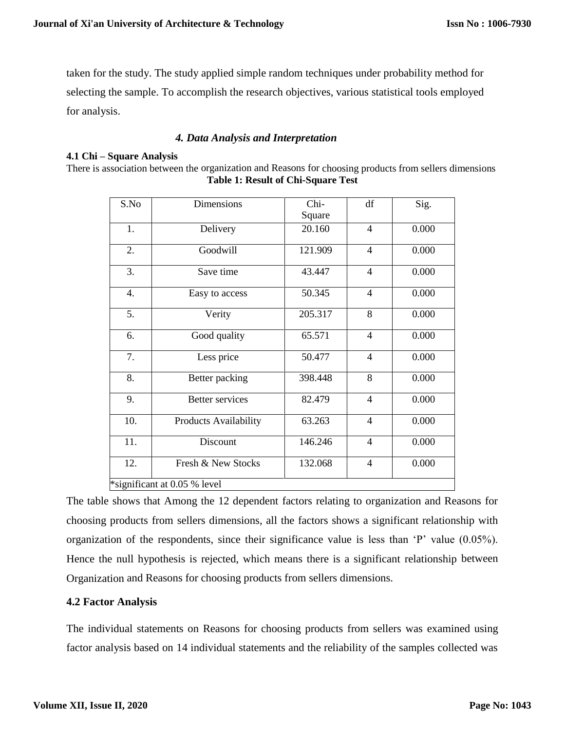taken for the study. The study applied simple random techniques under probability method for selecting the sample. To accomplish the research objectives, various statistical tools employed for analysis.

#### *4. Data Analysis and Interpretation*

#### **4.1 Chi – Square Analysis**

There is association between the organization and Reasons for choosing products from sellers dimensions **Table 1: Result of Chi-Square Test**

| S.No                         | <b>Dimensions</b>            | Chi-    | df             | Sig.  |  |  |  |
|------------------------------|------------------------------|---------|----------------|-------|--|--|--|
|                              |                              | Square  |                |       |  |  |  |
| 1.                           | Delivery                     | 20.160  | $\overline{4}$ | 0.000 |  |  |  |
| 2.                           | Goodwill                     | 121.909 | $\overline{4}$ | 0.000 |  |  |  |
| 3.                           | Save time                    | 43.447  | $\overline{4}$ | 0.000 |  |  |  |
| 4.                           | Easy to access               | 50.345  | $\overline{4}$ | 0.000 |  |  |  |
| 5.                           | Verity                       | 205.317 | 8              | 0.000 |  |  |  |
| 6.                           | Good quality                 | 65.571  | $\overline{4}$ | 0.000 |  |  |  |
| 7.                           | Less price                   | 50.477  | $\overline{4}$ | 0.000 |  |  |  |
| 8.                           | Better packing               | 398.448 | 8              | 0.000 |  |  |  |
| 9.                           | <b>Better services</b>       | 82.479  | $\overline{4}$ | 0.000 |  |  |  |
| 10.                          | <b>Products Availability</b> | 63.263  | $\overline{4}$ | 0.000 |  |  |  |
| 11.                          | Discount                     | 146.246 | $\overline{4}$ | 0.000 |  |  |  |
| 12.                          | Fresh & New Stocks           | 132.068 | $\overline{4}$ | 0.000 |  |  |  |
| *significant at 0.05 % level |                              |         |                |       |  |  |  |

The table shows that Among the 12 dependent factors relating to organization and Reasons for choosing products from sellers dimensions, all the factors shows a significant relationship with organization of the respondents, since their significance value is less than 'P' value (0.05%). Hence the null hypothesis is rejected, which means there is a significant relationship between Organization and Reasons for choosing products from sellers dimensions.

#### **4.2 Factor Analysis**

The individual statements on Reasons for choosing products from sellers was examined using factor analysis based on 14 individual statements and the reliability of the samples collected was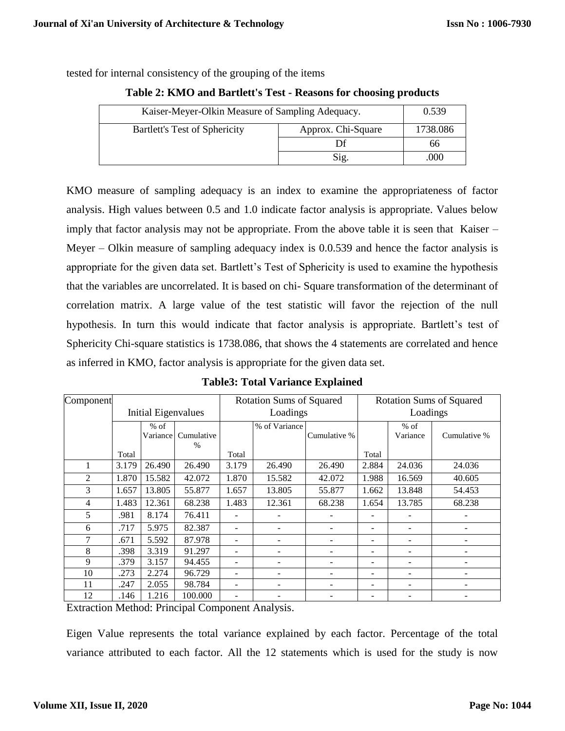tested for internal consistency of the grouping of the items

|  | Table 2: KMO and Bartlett's Test - Reasons for choosing products |  |  |  |
|--|------------------------------------------------------------------|--|--|--|
|  |                                                                  |  |  |  |

| Kaiser-Meyer-Olkin Measure of Sampling Adequacy. | 0.539    |    |
|--------------------------------------------------|----------|----|
| Bartlett's Test of Sphericity                    | 1738.086 |    |
|                                                  |          | 66 |
|                                                  | .000     |    |

KMO measure of sampling adequacy is an index to examine the appropriateness of factor analysis. High values between 0.5 and 1.0 indicate factor analysis is appropriate. Values below imply that factor analysis may not be appropriate. From the above table it is seen that Kaiser – Meyer – Olkin measure of sampling adequacy index is 0.0.539 and hence the factor analysis is appropriate for the given data set. Bartlett's Test of Sphericity is used to examine the hypothesis that the variables are uncorrelated. It is based on chi- Square transformation of the determinant of correlation matrix. A large value of the test statistic will favor the rejection of the null hypothesis. In turn this would indicate that factor analysis is appropriate. Bartlett's test of Sphericity Chi-square statistics is 1738.086, that shows the 4 statements are correlated and hence as inferred in KMO, factor analysis is appropriate for the given data set.

| Component |                     |           |            | <b>Rotation Sums of Squared</b> |               |              | <b>Rotation Sums of Squared</b> |          |              |
|-----------|---------------------|-----------|------------|---------------------------------|---------------|--------------|---------------------------------|----------|--------------|
|           | Initial Eigenvalues |           | Loadings   |                                 |               | Loadings     |                                 |          |              |
|           |                     | $%$ of    |            |                                 | % of Variance |              |                                 | $%$ of   |              |
|           |                     | Variancel | Cumulative |                                 |               | Cumulative % |                                 | Variance | Cumulative % |
|           |                     |           | $\%$       |                                 |               |              |                                 |          |              |
|           | Total               |           |            | Total                           |               |              | Total                           |          |              |
|           | 3.179               | 26.490    | 26.490     | 3.179                           | 26.490        | 26.490       | 2.884                           | 24.036   | 24.036       |
| 2         | 1.870               | 15.582    | 42.072     | 1.870                           | 15.582        | 42.072       | 1.988                           | 16.569   | 40.605       |
| 3         | 1.657               | 13.805    | 55.877     | 1.657                           | 13.805        | 55.877       | 1.662                           | 13.848   | 54.453       |
| 4         | 1.483               | 12.361    | 68.238     | 1.483                           | 12.361        | 68.238       | 1.654                           | 13.785   | 68.238       |
| 5         | .981                | 8.174     | 76.411     |                                 |               |              |                                 |          |              |
| 6         | .717                | 5.975     | 82.387     |                                 |               |              |                                 |          |              |
| 7         | .671                | 5.592     | 87.978     | ۰                               |               |              |                                 |          |              |
| 8         | .398                | 3.319     | 91.297     | ۰                               |               |              |                                 |          |              |
| 9         | .379                | 3.157     | 94.455     | ۰                               |               |              |                                 |          |              |
| 10        | .273                | 2.274     | 96.729     | ۰                               |               |              |                                 |          |              |
| 11        | .247                | 2.055     | 98.784     |                                 |               |              |                                 |          |              |
| 12        | .146                | 1.216     | 100.000    | ۰                               |               |              |                                 |          |              |

**Table3: Total Variance Explained**

Extraction Method: Principal Component Analysis.

Eigen Value represents the total variance explained by each factor. Percentage of the total variance attributed to each factor. All the 12 statements which is used for the study is now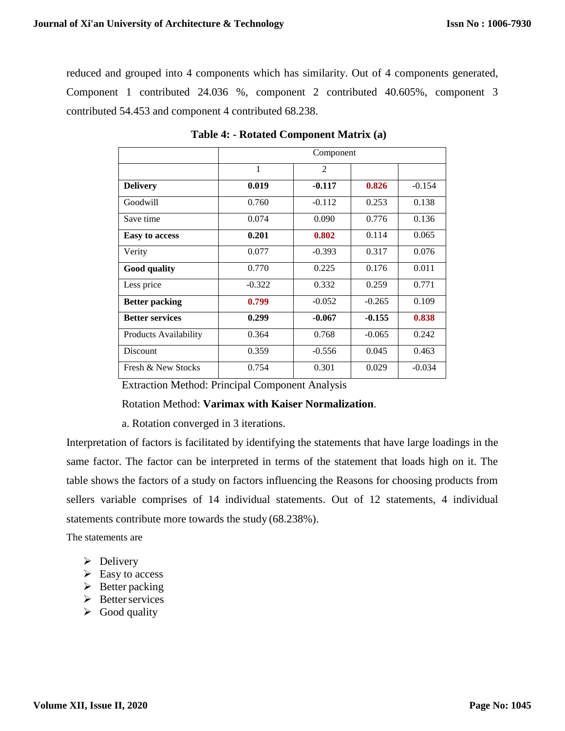reduced and grouped into 4 components which has similarity. Out of 4 components generated, Component 1 contributed 24.036 %, component 2 contributed 40.605%, component 3 contributed 54.453 and component 4 contributed 68.238.

|                        | Component    |                |          |          |  |  |  |
|------------------------|--------------|----------------|----------|----------|--|--|--|
|                        | $\mathbf{1}$ | $\overline{2}$ |          |          |  |  |  |
| <b>Delivery</b>        | 0.019        | $-0.117$       | 0.826    | $-0.154$ |  |  |  |
| Goodwill               | 0.760        | $-0.112$       | 0.253    | 0.138    |  |  |  |
| Save time              | 0.074        | 0.090          | 0.776    | 0.136    |  |  |  |
| <b>Easy to access</b>  | 0.201        | 0.802          | 0.114    | 0.065    |  |  |  |
| Verity                 | 0.077        | $-0.393$       | 0.317    | 0.076    |  |  |  |
| <b>Good quality</b>    | 0.770        | 0.225          | 0.176    | 0.011    |  |  |  |
| Less price             | $-0.322$     | 0.332          | 0.259    | 0.771    |  |  |  |
| <b>Better packing</b>  | 0.799        | $-0.052$       | $-0.265$ | 0.109    |  |  |  |
| <b>Better services</b> | 0.299        | $-0.067$       | $-0.155$ | 0.838    |  |  |  |
| Products Availability  | 0.364        | 0.768          | $-0.065$ | 0.242    |  |  |  |
| <b>Discount</b>        | 0.359        | $-0.556$       | 0.045    | 0.463    |  |  |  |
| Fresh & New Stocks     | 0.754        | 0.301          | 0.029    | $-0.034$ |  |  |  |

 **Table 4: - Rotated Component Matrix (a)**

Extraction Method: Principal Component Analysis

Rotation Method: **Varimax with Kaiser Normalization**.

a. Rotation converged in 3 iterations.

Interpretation of factors is facilitated by identifying the statements that have large loadings in the same factor. The factor can be interpreted in terms of the statement that loads high on it. The table shows the factors of a study on factors influencing the Reasons for choosing products from sellers variable comprises of 14 individual statements. Out of 12 statements, 4 individual statements contribute more towards the study (68.238%).

The statements are

- $\triangleright$  Delivery
- $\triangleright$  Easy to access
- $\triangleright$  Better packing
- $\triangleright$  Better services
- $\triangleright$  Good quality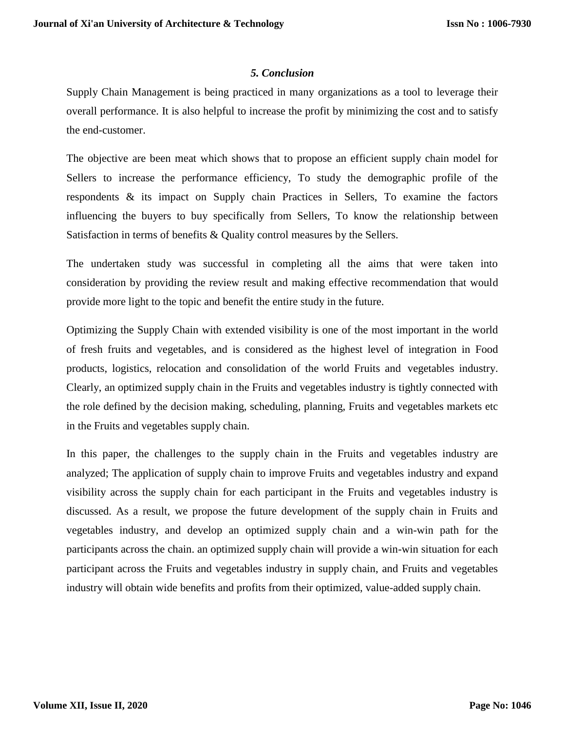#### *5. Conclusion*

Supply Chain Management is being practiced in many organizations as a tool to leverage their overall performance. It is also helpful to increase the profit by minimizing the cost and to satisfy the end-customer.

The objective are been meat which shows that to propose an efficient supply chain model for Sellers to increase the performance efficiency, To study the demographic profile of the respondents & its impact on Supply chain Practices in Sellers, To examine the factors influencing the buyers to buy specifically from Sellers, To know the relationship between Satisfaction in terms of benefits & Quality control measures by the Sellers.

The undertaken study was successful in completing all the aims that were taken into consideration by providing the review result and making effective recommendation that would provide more light to the topic and benefit the entire study in the future.

Optimizing the Supply Chain with extended visibility is one of the most important in the world of fresh fruits and vegetables, and is considered as the highest level of integration in Food products, logistics, relocation and consolidation of the world Fruits and vegetables industry. Clearly, an optimized supply chain in the Fruits and vegetables industry is tightly connected with the role defined by the decision making, scheduling, planning, Fruits and vegetables markets etc in the Fruits and vegetables supply chain.

In this paper, the challenges to the supply chain in the Fruits and vegetables industry are analyzed; The application of supply chain to improve Fruits and vegetables industry and expand visibility across the supply chain for each participant in the Fruits and vegetables industry is discussed. As a result, we propose the future development of the supply chain in Fruits and vegetables industry, and develop an optimized supply chain and a win-win path for the participants across the chain. an optimized supply chain will provide a win-win situation for each participant across the Fruits and vegetables industry in supply chain, and Fruits and vegetables industry will obtain wide benefits and profits from their optimized, value-added supply chain.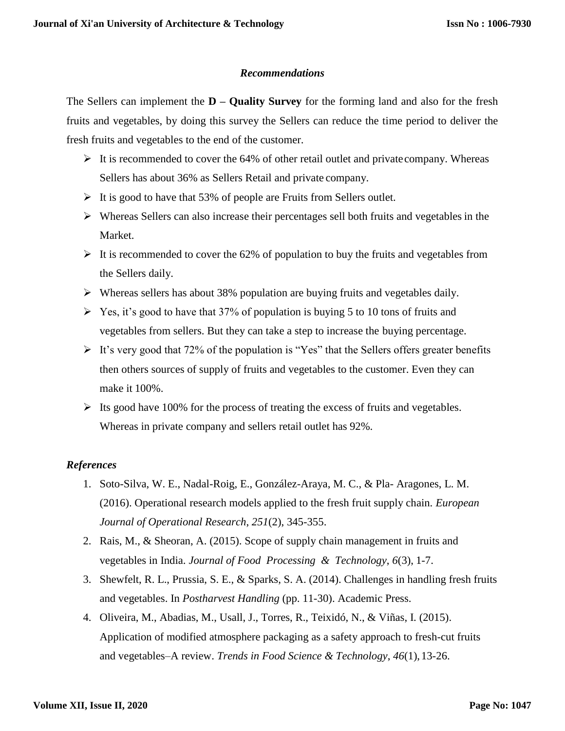#### *Recommendations*

The Sellers can implement the **D – Quality Survey** for the forming land and also for the fresh fruits and vegetables, by doing this survey the Sellers can reduce the time period to deliver the fresh fruits and vegetables to the end of the customer.

- $\triangleright$  It is recommended to cover the 64% of other retail outlet and private company. Whereas Sellers has about 36% as Sellers Retail and private company.
- $\triangleright$  It is good to have that 53% of people are Fruits from Sellers outlet.
- Whereas Sellers can also increase their percentages sell both fruits and vegetables in the Market.
- $\triangleright$  It is recommended to cover the 62% of population to buy the fruits and vegetables from the Sellers daily.
- $\triangleright$  Whereas sellers has about 38% population are buying fruits and vegetables daily.
- $\triangleright$  Yes, it's good to have that 37% of population is buying 5 to 10 tons of fruits and vegetables from sellers. But they can take a step to increase the buying percentage.
- $\triangleright$  It's very good that 72% of the population is "Yes" that the Sellers offers greater benefits then others sources of supply of fruits and vegetables to the customer. Even they can make it 100%.
- $\triangleright$  Its good have 100% for the process of treating the excess of fruits and vegetables. Whereas in private company and sellers retail outlet has 92%.

# *References*

- 1. Soto-Silva, W. E., Nadal-Roig, E., González-Araya, M. C., & Pla- Aragones, L. M. (2016). Operational research models applied to the fresh fruit supply chain. *European Journal of Operational Research*, *251*(2), 345-355.
- 2. Rais, M., & Sheoran, A. (2015). Scope of supply chain management in fruits and vegetables in India. *Journal of Food Processing & Technology*, *6*(3), 1-7.
- 3. Shewfelt, R. L., Prussia, S. E., & Sparks, S. A. (2014). Challenges in handling fresh fruits and vegetables. In *Postharvest Handling* (pp. 11-30). Academic Press.
- 4. Oliveira, M., Abadias, M., Usall, J., Torres, R., Teixidó, N., & Viñas, I. (2015). Application of modified atmosphere packaging as a safety approach to fresh-cut fruits and vegetables–A review. *Trends in Food Science & Technology*, *46*(1),13-26.